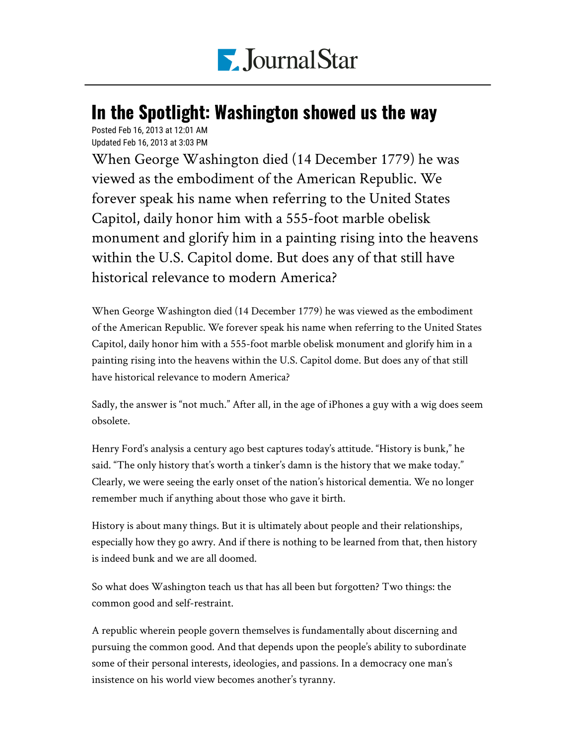

## In the Spotlight: Washington showed us the way

Posted Feb 16, 2013 at 12:01 AM Updated Feb 16, 2013 at 3:03 PM

When George Washington died (14 December 1779) he was viewed as the embodiment of the American Republic. We forever speak his name when referring to the United States Capitol, daily honor him with a 555-foot marble obelisk monument and glorify him in a painting rising into the heavens within the U.S. Capitol dome. But does any of that still have historical relevance to modern America?

When George Washington died (14 December 1779) he was viewed as the embodiment of the American Republic. We forever speak his name when referring to the United States Capitol, daily honor him with a 555-foot marble obelisk monument and glorify him in a painting rising into the heavens within the U.S. Capitol dome. But does any of that still have historical relevance to modern America?

Sadly, the answer is "not much." After all, in the age of iPhones a guy with a wig does seem obsolete.

Henry Ford's analysis a century ago best captures today's attitude. "History is bunk," he said. "The only history that's worth a tinker's damn is the history that we make today." Clearly, we were seeing the early onset of the nation's historical dementia. We no longer remember much if anything about those who gave it birth.

History is about many things. But it is ultimately about people and their relationships, especially how they go awry. And if there is nothing to be learned from that, then history is indeed bunk and we are all doomed.

So what does Washington teach us that has all been but forgotten? Two things: the common good and self-restraint.

A republic wherein people govern themselves is fundamentally about discerning and pursuing the common good. And that depends upon the people's ability to subordinate some of their personal interests, ideologies, and passions. In a democracy one man's insistence on his world view becomes another's tyranny.